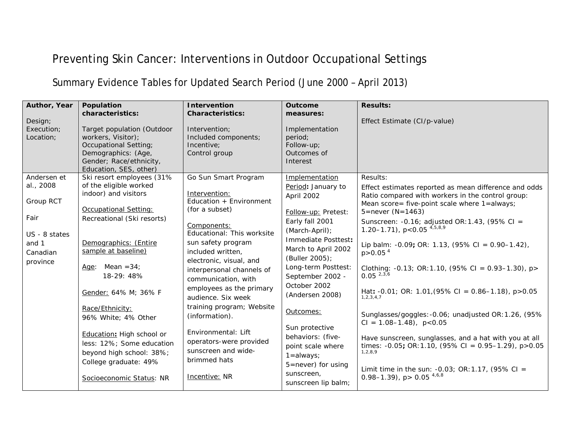## Preventing Skin Cancer: Interventions in Outdoor Occupational Settings

## Summary Evidence Tables for Updated Search Period (June 2000 – April 2013)

| Author, Year            | Population<br>characteristics:                                                                                                                        | <b>Intervention</b><br><b>Characteristics:</b>                                        | <b>Outcome</b><br>measures:                                                                         | <b>Results:</b>                                                                                                                                            |
|-------------------------|-------------------------------------------------------------------------------------------------------------------------------------------------------|---------------------------------------------------------------------------------------|-----------------------------------------------------------------------------------------------------|------------------------------------------------------------------------------------------------------------------------------------------------------------|
| Design;                 |                                                                                                                                                       |                                                                                       |                                                                                                     | Effect Estimate (CI/p-value)                                                                                                                               |
| Execution;<br>Location; | Target population (Outdoor<br>workers, Visitor);<br>Occupational Setting;<br>Demographics: (Age,<br>Gender; Race/ethnicity,<br>Education, SES, other) | Intervention;<br>Included components;<br>Incentive:<br>Control group                  | Implementation<br>period;<br>Follow-up;<br>Outcomes of<br>Interest                                  |                                                                                                                                                            |
| Andersen et             | Ski resort employees (31%                                                                                                                             | Go Sun Smart Program                                                                  | Implementation                                                                                      | Results:                                                                                                                                                   |
| al., 2008<br>Group RCT  | of the eligible worked<br>indoor) and visitors<br>Occupational Setting:                                                                               | Intervention:<br>Education + Environment<br>(for a subset)                            | Period: January to<br>April 2002                                                                    | Effect estimates reported as mean difference and odds<br>Ratio compared with workers in the control group:<br>Mean score= five-point scale where 1=always; |
| Fair                    | Recreational (Ski resorts)                                                                                                                            |                                                                                       | Follow-up: Pretest:                                                                                 | $5 =$ never (N=1463)                                                                                                                                       |
| US - 8 states           |                                                                                                                                                       | Components:<br>Educational: This worksite                                             | Early fall 2001<br>(March-April);                                                                   | Sunscreen: - 0.16; adjusted OR: 1.43, (95% CI =<br>1.20-1.71), $p < 0.05$ <sup>4,5,8,9</sup>                                                               |
| and 1<br>Canadian       | Demographics: (Entire<br>sample at baseline)                                                                                                          | sun safety program<br>included written,<br>electronic, visual, and                    | Immediate Posttest:<br>March to April 2002<br>(Buller 2005);                                        | Lip balm: -0.09; OR: 1.13, $(95\% \text{ CI} = 0.90-1.42)$ ,<br>$p > 0.05$ <sup>4</sup>                                                                    |
| province                | Mean $=34$ ;<br>Age:<br>18-29: 48%                                                                                                                    | interpersonal channels of<br>communication, with                                      | Long-term Posttest:<br>September 2002 -                                                             | Clothing: -0.13; OR:1.10, (95% CI = 0.93–1.30), p><br>$0.05^{2,3,6}$                                                                                       |
|                         | Gender: 64% M; 36% F                                                                                                                                  | employees as the primary<br>audience. Six week                                        | October 2002<br>(Andersen 2008)                                                                     | Hat: -0.01; OR: 1.01, (95% CI = 0.86-1.18), p>0.05<br>1, 2, 3, 4, 7                                                                                        |
|                         | Race/Ethnicity:<br>96% White; 4% Other                                                                                                                | training program; Website<br>(information).                                           | Outcomes:                                                                                           | Sunglasses/goggles: -0.06; unadjusted OR: 1.26, (95%)<br>$CI = 1.08 - 1.48$ , $p < 0.05$                                                                   |
|                         | Education: High school or<br>less: 12%; Some education<br>beyond high school: 38%;<br>College graduate: 49%                                           | Environmental: Lift<br>operators-were provided<br>sunscreen and wide-<br>brimmed hats | Sun protective<br>behaviors: (five-<br>point scale where<br>$1 = always;$<br>$5 =$ never) for using | Have sunscreen, sunglasses, and a hat with you at all<br>times: $-0.05$ ; OR: 1.10, (95% CI = 0.95-1.29), p > 0.05<br>1, 2, 8, 9                           |
|                         | Socioeconomic Status: NR                                                                                                                              | Incentive: NR                                                                         | sunscreen.<br>sunscreen lip balm;                                                                   | Limit time in the sun: $-0.03$ ; OR: 1.17, (95% CI =<br>0.98-1.39), $p > 0.05^{4,6,8}$                                                                     |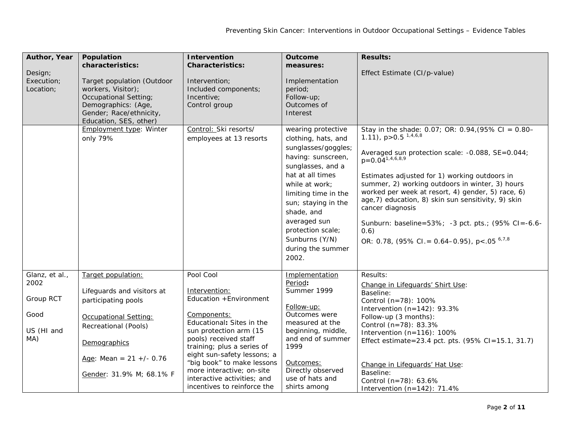| Author, Year<br>Design;<br>Execution;<br>Location;               | Population<br>characteristics:<br>Target population (Outdoor<br>workers, Visitor);<br><b>Occupational Setting;</b><br>Demographics: (Age,<br>Gender; Race/ethnicity,<br>Education, SES, other) | Intervention<br><b>Characteristics:</b><br>Intervention;<br>Included components;<br>Incentive;<br>Control group                                                                                                   | <b>Outcome</b><br>measures:<br>Implementation<br>period;<br>Follow-up;<br>Outcomes of<br>Interest                                                                                                                                                                                                   | <b>Results:</b><br>Effect Estimate (CI/p-value)                                                                                                                                                                                                                                                                                                                                                                                                                                                                                      |
|------------------------------------------------------------------|------------------------------------------------------------------------------------------------------------------------------------------------------------------------------------------------|-------------------------------------------------------------------------------------------------------------------------------------------------------------------------------------------------------------------|-----------------------------------------------------------------------------------------------------------------------------------------------------------------------------------------------------------------------------------------------------------------------------------------------------|--------------------------------------------------------------------------------------------------------------------------------------------------------------------------------------------------------------------------------------------------------------------------------------------------------------------------------------------------------------------------------------------------------------------------------------------------------------------------------------------------------------------------------------|
|                                                                  | Employment type: Winter<br>only 79%                                                                                                                                                            | Control: Ski resorts/<br>employees at 13 resorts                                                                                                                                                                  | wearing protective<br>clothing, hats, and<br>sunglasses/goggles;<br>having: sunscreen,<br>sunglasses, and a<br>hat at all times<br>while at work:<br>limiting time in the<br>sun; staying in the<br>shade, and<br>averaged sun<br>protection scale;<br>Sunburns (Y/N)<br>during the summer<br>2002. | Stay in the shade: 0.07; OR: 0.94, (95% CI = $0.80-$<br>1.11), $p > 0.5$ <sup>1,4,6,8</sup><br>Averaged sun protection scale: -0.088, SE=0.044;<br>$p=0.04^{1,4,6,8,9}$<br>Estimates adjusted for 1) working outdoors in<br>summer, 2) working outdoors in winter, 3) hours<br>worked per week at resort, 4) gender, 5) race, 6)<br>age, 7) education, 8) skin sun sensitivity, 9) skin<br>cancer diagnosis<br>Sunburn: baseline=53%; -3 pct. pts.; (95% CI=-6.6-<br>(0.6)<br>OR: 0.78, $(95\%$ CI. = 0.64–0.95), p < .05 $^{6,7,8}$ |
| Glanz, et al.,<br>2002<br>Group RCT<br>Good<br>US (HI and<br>MA) | Target population:<br>Lifeguards and visitors at<br>participating pools<br>Occupational Setting:<br>Recreational (Pools)<br>Demographics<br>Age: Mean = $21 +/- 0.76$                          | Pool Cool<br>Intervention:<br>Education + Environment<br>Components:<br>Educational: Sites in the<br>sun protection arm (15<br>pools) received staff<br>training; plus a series of<br>eight sun-safety lessons; a | Implementation<br>Period:<br>Summer 1999<br>Follow-up:<br>Outcomes were<br>measured at the<br>beginning, middle,<br>and end of summer<br>1999                                                                                                                                                       | Results:<br>Change in Lifeguards' Shirt Use:<br>Baseline:<br>Control (n=78): 100%<br>Intervention $(n=142)$ : 93.3%<br>Follow-up (3 months):<br>Control (n=78): 83.3%<br>Intervention $(n=116)$ : 100%<br>Effect estimate=23.4 pct. pts. (95% CI=15.1, 31.7)                                                                                                                                                                                                                                                                         |
|                                                                  | Gender: 31.9% M; 68.1% F                                                                                                                                                                       | "big book" to make lessons<br>more interactive; on-site<br>interactive activities: and<br>incentives to reinforce the                                                                                             | Outcomes:<br>Directly observed<br>use of hats and<br>shirts among                                                                                                                                                                                                                                   | Change in Lifeguards' Hat Use:<br>Baseline:<br>Control (n=78): 63.6%<br>Intervention $(n=142)$ : 71.4%                                                                                                                                                                                                                                                                                                                                                                                                                               |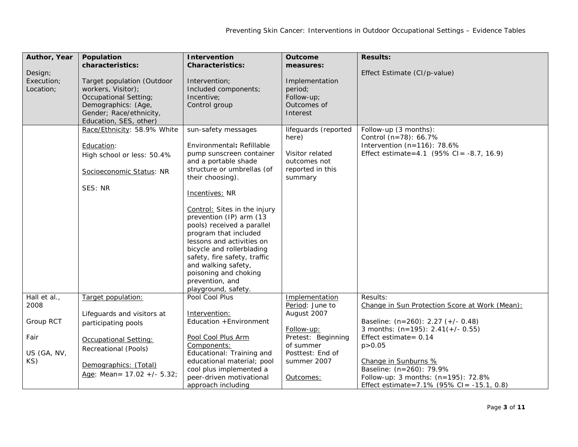| Author, Year                       | Population                                                                                                                                            | Intervention                                                                                                                                                                                                                                                                                       | <b>Outcome</b>                                                     | <b>Results:</b>                                |
|------------------------------------|-------------------------------------------------------------------------------------------------------------------------------------------------------|----------------------------------------------------------------------------------------------------------------------------------------------------------------------------------------------------------------------------------------------------------------------------------------------------|--------------------------------------------------------------------|------------------------------------------------|
|                                    | characteristics:                                                                                                                                      | <b>Characteristics:</b>                                                                                                                                                                                                                                                                            | measures:                                                          |                                                |
| Design;<br>Execution;<br>Location; | Target population (Outdoor<br>workers, Visitor);<br>Occupational Setting;<br>Demographics: (Age,<br>Gender; Race/ethnicity,<br>Education, SES, other) | Intervention;<br>Included components;<br>Incentive;<br>Control group                                                                                                                                                                                                                               | Implementation<br>period;<br>Follow-up;<br>Outcomes of<br>Interest | Effect Estimate (CI/p-value)                   |
|                                    | Race/Ethnicity: 58.9% White                                                                                                                           | sun-safety messages                                                                                                                                                                                                                                                                                | lifeguards (reported<br>here)                                      | Follow-up (3 months):<br>Control (n=78): 66.7% |
|                                    | Education:                                                                                                                                            | Environmental: Refillable                                                                                                                                                                                                                                                                          |                                                                    | Intervention $(n=116)$ : 78.6%                 |
|                                    | High school or less: 50.4%                                                                                                                            | pump sunscreen container                                                                                                                                                                                                                                                                           | Visitor related                                                    | Effect estimate=4.1 $(95\%$ CI = -8.7, 16.9)   |
|                                    |                                                                                                                                                       | and a portable shade                                                                                                                                                                                                                                                                               | outcomes not                                                       |                                                |
|                                    | Socioeconomic Status: NR                                                                                                                              | structure or umbrellas (of<br>their choosing).                                                                                                                                                                                                                                                     | reported in this<br>summary                                        |                                                |
|                                    | SES: NR                                                                                                                                               | Incentives: NR                                                                                                                                                                                                                                                                                     |                                                                    |                                                |
|                                    |                                                                                                                                                       | Control: Sites in the injury<br>prevention (IP) arm (13<br>pools) received a parallel<br>program that included<br>lessons and activities on<br>bicycle and rollerblading<br>safety, fire safety, traffic<br>and walking safety,<br>poisoning and choking<br>prevention, and<br>playground, safety. |                                                                    |                                                |
| Hall et al.,                       | Target population:                                                                                                                                    | Pool Cool Plus                                                                                                                                                                                                                                                                                     | Implementation                                                     | Results:                                       |
| 2008                               |                                                                                                                                                       |                                                                                                                                                                                                                                                                                                    | Period: June to                                                    | Change in Sun Protection Score at Work (Mean): |
| Group RCT                          | Lifeguards and visitors at                                                                                                                            | Intervention:<br>Education + Environment                                                                                                                                                                                                                                                           | August 2007                                                        | Baseline: (n=260): 2.27 (+/- 0.48)             |
|                                    | participating pools                                                                                                                                   |                                                                                                                                                                                                                                                                                                    | Follow-up:                                                         | 3 months: $(n=195)$ : 2.41(+/- 0.55)           |
| Fair                               | Occupational Setting:                                                                                                                                 | Pool Cool Plus Arm                                                                                                                                                                                                                                                                                 | Pretest: Beginning                                                 | Effect estimate = $0.14$                       |
|                                    | Recreational (Pools)                                                                                                                                  | Components:                                                                                                                                                                                                                                                                                        | of summer                                                          | p > 0.05                                       |
| US (GA, NV,                        |                                                                                                                                                       | Educational: Training and                                                                                                                                                                                                                                                                          | Posttest: End of                                                   |                                                |
| KS)                                | Demographics: (Total)                                                                                                                                 | educational material; pool                                                                                                                                                                                                                                                                         | summer 2007                                                        | Change in Sunburns %                           |
|                                    | Age: Mean = $17.02 +/- 5.32$ ;                                                                                                                        | cool plus implemented a                                                                                                                                                                                                                                                                            |                                                                    | Baseline: (n=260): 79.9%                       |
|                                    |                                                                                                                                                       | peer-driven motivational                                                                                                                                                                                                                                                                           | Outcomes:                                                          | Follow-up: 3 months: (n=195): 72.8%            |
|                                    |                                                                                                                                                       | approach including                                                                                                                                                                                                                                                                                 |                                                                    | Effect estimate=7.1% (95% CI= -15.1, 0.8)      |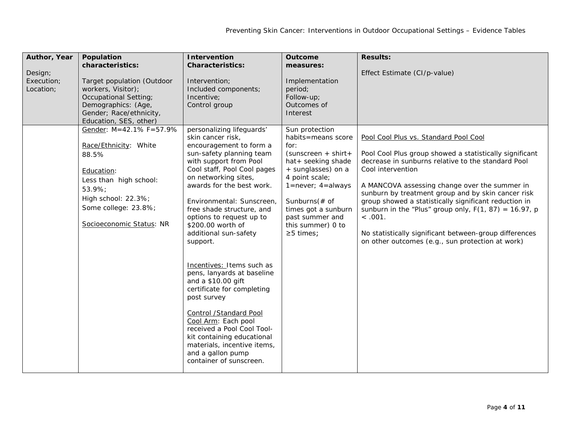| Author, Year<br>Design;<br>Execution;<br>Location; | Population<br>characteristics:<br>Target population (Outdoor<br>workers, Visitor);<br>Occupational Setting;<br>Demographics: (Age,<br>Gender; Race/ethnicity,<br>Education, SES, other) | <b>Intervention</b><br><b>Characteristics:</b><br>Intervention;<br>Included components;<br>Incentive;<br>Control group                                                                                                                                                                                                                                                                                                                                                                                                                                                                                                                                                                               | Outcome<br>measures:<br>Implementation<br>period;<br>Follow-up;<br>Outcomes of<br>Interest                                                                                                                                                                                | <b>Results:</b><br>Effect Estimate (CI/p-value)                                                                                                                                                                                                                                                                                                                                                                                                                                                                                  |
|----------------------------------------------------|-----------------------------------------------------------------------------------------------------------------------------------------------------------------------------------------|------------------------------------------------------------------------------------------------------------------------------------------------------------------------------------------------------------------------------------------------------------------------------------------------------------------------------------------------------------------------------------------------------------------------------------------------------------------------------------------------------------------------------------------------------------------------------------------------------------------------------------------------------------------------------------------------------|---------------------------------------------------------------------------------------------------------------------------------------------------------------------------------------------------------------------------------------------------------------------------|----------------------------------------------------------------------------------------------------------------------------------------------------------------------------------------------------------------------------------------------------------------------------------------------------------------------------------------------------------------------------------------------------------------------------------------------------------------------------------------------------------------------------------|
|                                                    | Gender: M=42.1% F=57.9%<br>Race/Ethnicity: White<br>88.5%<br>Education:<br>Less than high school:<br>53.9%;<br>High school: 22.3%;<br>Some college: 23.8%;<br>Socioeconomic Status: NR  | personalizing lifeguards'<br>skin cancer risk,<br>encouragement to form a<br>sun-safety planning team<br>with support from Pool<br>Cool staff, Pool Cool pages<br>on networking sites,<br>awards for the best work.<br>Environmental: Sunscreen,<br>free shade structure, and<br>options to request up to<br>\$200.00 worth of<br>additional sun-safety<br>support.<br>Incentives: Items such as<br>pens, lanyards at baseline<br>and a \$10.00 gift<br>certificate for completing<br>post survey<br><b>Control /Standard Pool</b><br>Cool Arm: Each pool<br>received a Pool Cool Tool-<br>kit containing educational<br>materials, incentive items,<br>and a gallon pump<br>container of sunscreen. | Sun protection<br>habits=means score<br>for:<br>$(sunscreen + shirt +$<br>hat+ seeking shade<br>+ sunglasses) on a<br>4 point scale;<br>$1 = never$ ; $4 = always$<br>Sunburns $($ # of<br>times got a sunburn<br>past summer and<br>this summer) 0 to<br>$\geq$ 5 times; | Pool Cool Plus vs. Standard Pool Cool<br>Pool Cool Plus group showed a statistically significant<br>decrease in sunburns relative to the standard Pool<br>Cool intervention<br>A MANCOVA assessing change over the summer in<br>sunburn by treatment group and by skin cancer risk<br>group showed a statistically significant reduction in<br>sunburn in the "Plus" group only, $F(1, 87) = 16.97$ , p<br>< .001.<br>No statistically significant between-group differences<br>on other outcomes (e.g., sun protection at work) |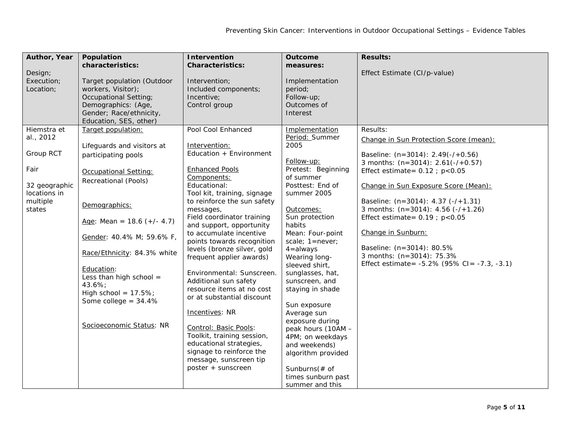| Author, Year<br>Design;<br>Execution;<br>Location;                                                   | Population<br>characteristics:<br>Target population (Outdoor<br>workers, Visitor);<br>Occupational Setting;<br>Demographics: (Age,<br>Gender; Race/ethnicity,<br>Education, SES, other)                                                                                                                                                                                      | <b>Intervention</b><br><b>Characteristics:</b><br>Intervention;<br>Included components;<br>Incentive;<br>Control group<br>Pool Cool Enhanced                                                                                                                                                                                                                                                                                                                                                                                                                                                                                                               | Outcome<br>measures:<br>Implementation<br>period;<br>Follow-up;<br>Outcomes of<br>Interest                                                                                                                                                                                                                                                                                                                                                                                                                                      | <b>Results:</b><br>Effect Estimate (CI/p-value)                                                                                                                                                                                                                                                                                                                                                                                                                                          |
|------------------------------------------------------------------------------------------------------|------------------------------------------------------------------------------------------------------------------------------------------------------------------------------------------------------------------------------------------------------------------------------------------------------------------------------------------------------------------------------|------------------------------------------------------------------------------------------------------------------------------------------------------------------------------------------------------------------------------------------------------------------------------------------------------------------------------------------------------------------------------------------------------------------------------------------------------------------------------------------------------------------------------------------------------------------------------------------------------------------------------------------------------------|---------------------------------------------------------------------------------------------------------------------------------------------------------------------------------------------------------------------------------------------------------------------------------------------------------------------------------------------------------------------------------------------------------------------------------------------------------------------------------------------------------------------------------|------------------------------------------------------------------------------------------------------------------------------------------------------------------------------------------------------------------------------------------------------------------------------------------------------------------------------------------------------------------------------------------------------------------------------------------------------------------------------------------|
| Hiemstra et<br>al., 2012<br>Group RCT<br>Fair<br>32 geographic<br>locations in<br>multiple<br>states | Target population:<br>Lifeguards and visitors at<br>participating pools<br>Occupational Setting:<br>Recreational (Pools)<br>Demographics:<br>Age: Mean = $18.6 (+/- 4.7)$<br>Gender: 40.4% M; 59.6% F,<br>Race/Ethnicity: 84.3% white<br>Education:<br>Less than high school $=$<br>43.6%;<br>High school = $17.5\%$ ;<br>Some college = $34.4%$<br>Socioeconomic Status: NR | Intervention:<br>Education + Environment<br><b>Enhanced Pools</b><br>Components:<br>Educational:<br>Tool kit, training, signage<br>to reinforce the sun safety<br>messages,<br>Field coordinator training<br>and support, opportunity<br>to accumulate incentive<br>points towards recognition<br>levels (bronze silver, gold<br>frequent applier awards)<br>Environmental: Sunscreen.<br>Additional sun safety<br>resource items at no cost<br>or at substantial discount<br>Incentives: NR<br>Control: Basic Pools:<br>Toolkit, training session,<br>educational strategies,<br>signage to reinforce the<br>message, sunscreen tip<br>poster + sunscreen | Implementation<br>Period: Summer<br>2005<br>Follow-up:<br>Pretest: Beginning<br>of summer<br>Posttest: End of<br>summer 2005<br>Outcomes:<br>Sun protection<br>habits<br>Mean: Four-point<br>scale; $1 = never$ ;<br>$4 =$ always<br>Wearing long-<br>sleeved shirt,<br>sunglasses, hat,<br>sunscreen, and<br>staying in shade<br>Sun exposure<br>Average sun<br>exposure during<br>peak hours (10AM -<br>4PM; on weekdays<br>and weekends)<br>algorithm provided<br>Sunburns $($ # of<br>times sunburn past<br>summer and this | Results:<br>Change in Sun Protection Score (mean):<br>Baseline: $(n=3014)$ : 2.49 $(-/+0.56)$<br>3 months: $(n=3014)$ : 2.61(-/+0.57)<br>Effect estimate= $0.12$ ; $p < 0.05$<br>Change in Sun Exposure Score (Mean):<br>Baseline: (n=3014): 4.37 (-/+1.31)<br>3 months: $(n=3014)$ : 4.56 $(-/-1.26)$<br>Effect estimate= $0.19$ ; $p < 0.05$<br>Change in Sunburn:<br>Baseline: (n=3014): 80.5%<br>3 months: (n=3014): 75.3%<br>Effect estimate = $-5.2\%$ (95% CI = $-7.3$ , $-3.1$ ) |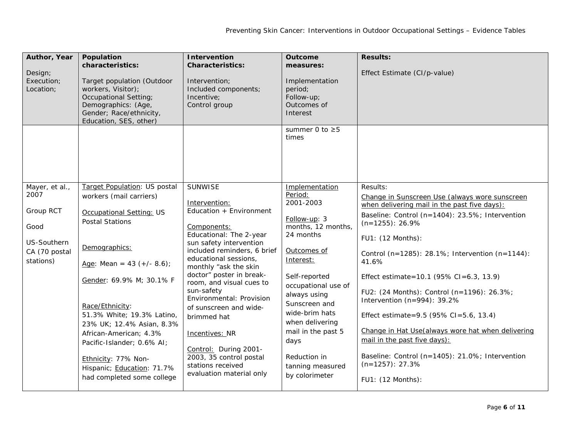| Author, Year<br>Design;<br>Execution;<br>Location;                                       | Population<br>characteristics:<br>Target population (Outdoor<br>workers, Visitor);<br>Occupational Setting;<br>Demographics: (Age,<br>Gender; Race/ethnicity,<br>Education, SES, other)                                                                                                                                                                                                                             | <b>Intervention</b><br><b>Characteristics:</b><br>Intervention;<br>Included components;<br>Incentive;<br>Control group                                                                                                                                                                                                                                                                                                                                                             | Outcome<br>measures:<br>Implementation<br>period;<br>Follow-up;<br>Outcomes of<br>Interest<br>summer 0 to $\geq$ 5<br>times                                                                                                                                                                                             | <b>Results:</b><br>Effect Estimate (CI/p-value)                                                                                                                                                                                                                                                                                                                                                                                                                                                                                                                                                                          |
|------------------------------------------------------------------------------------------|---------------------------------------------------------------------------------------------------------------------------------------------------------------------------------------------------------------------------------------------------------------------------------------------------------------------------------------------------------------------------------------------------------------------|------------------------------------------------------------------------------------------------------------------------------------------------------------------------------------------------------------------------------------------------------------------------------------------------------------------------------------------------------------------------------------------------------------------------------------------------------------------------------------|-------------------------------------------------------------------------------------------------------------------------------------------------------------------------------------------------------------------------------------------------------------------------------------------------------------------------|--------------------------------------------------------------------------------------------------------------------------------------------------------------------------------------------------------------------------------------------------------------------------------------------------------------------------------------------------------------------------------------------------------------------------------------------------------------------------------------------------------------------------------------------------------------------------------------------------------------------------|
| Mayer, et al.,<br>2007<br>Group RCT<br>Good<br>US-Southern<br>CA (70 postal<br>stations) | Target Population: US postal<br>workers (mail carriers)<br>Occupational Setting: US<br><b>Postal Stations</b><br>Demographics:<br>Age: Mean = 43 $(+/- 8.6)$ ;<br>Gender: 69.9% M; 30.1% F<br>Race/Ethnicity:<br>51.3% White; 19.3% Latino,<br>23% UK; 12.4% Asian, 8.3%<br>African-American; 4.3%<br>Pacific-Islander; 0.6% AI;<br>Ethnicity: 77% Non-<br>Hispanic; Education: 71.7%<br>had completed some college | <b>SUNWISE</b><br>Intervention:<br>Education + Environment<br>Components:<br>Educational: The 2-year<br>sun safety intervention<br>included reminders, 6 brief<br>educational sessions,<br>monthly "ask the skin<br>doctor" poster in break-<br>room, and visual cues to<br>sun-safety<br>Environmental: Provision<br>of sunscreen and wide-<br>brimmed hat<br>Incentives: NR<br>Control: During 2001-<br>2003, 35 control postal<br>stations received<br>evaluation material only | Implementation<br>Period:<br>2001-2003<br>Follow-up: 3<br>months, 12 months,<br>24 months<br>Outcomes of<br>Interest:<br>Self-reported<br>occupational use of<br>always using<br>Sunscreen and<br>wide-brim hats<br>when delivering<br>mail in the past 5<br>days<br>Reduction in<br>tanning measured<br>by colorimeter | Results:<br>Change in Sunscreen Use (always wore sunscreen<br>when delivering mail in the past five days):<br>Baseline: Control (n=1404): 23.5%; Intervention<br>$(n=1255)$ : 26.9%<br>FU1: (12 Months):<br>Control (n=1285): 28.1%; Intervention (n=1144):<br>41.6%<br>Effect estimate=10.1 (95% CI=6.3, 13.9)<br>FU2: (24 Months): Control (n=1196): 26.3%;<br>Intervention (n=994): 39.2%<br>Effect estimate=9.5 (95% CI=5.6, 13.4)<br>Change in Hat Use(always wore hat when delivering<br>mail in the past five days):<br>Baseline: Control (n=1405): 21.0%; Intervention<br>$(n=1257): 27.3%$<br>FU1: (12 Months): |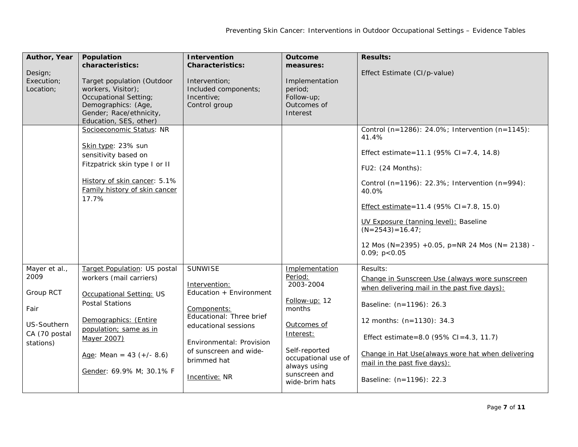| Author, Year<br>Design;<br>Execution;<br>Location;                                      | Population<br>characteristics:<br>Target population (Outdoor<br>workers, Visitor);<br>Occupational Setting;<br>Demographics: (Age,<br>Gender; Race/ethnicity,<br>Education, SES, other)<br>Socioeconomic Status: NR                       | <b>Intervention</b><br><b>Characteristics:</b><br>Intervention:<br>Included components;<br>Incentive;<br>Control group                                                                                              | <b>Outcome</b><br>measures:<br>Implementation<br>period:<br>Follow-up;<br>Outcomes of<br>Interest                                                                                        | <b>Results:</b><br>Effect Estimate (CI/p-value)<br>Control (n=1286): 24.0%; Intervention (n=1145):                                                                                                                                                                                                                                |
|-----------------------------------------------------------------------------------------|-------------------------------------------------------------------------------------------------------------------------------------------------------------------------------------------------------------------------------------------|---------------------------------------------------------------------------------------------------------------------------------------------------------------------------------------------------------------------|------------------------------------------------------------------------------------------------------------------------------------------------------------------------------------------|-----------------------------------------------------------------------------------------------------------------------------------------------------------------------------------------------------------------------------------------------------------------------------------------------------------------------------------|
|                                                                                         | Skin type: 23% sun<br>sensitivity based on<br>Fitzpatrick skin type I or II<br>History of skin cancer: 5.1%<br>Family history of skin cancer<br>17.7%                                                                                     |                                                                                                                                                                                                                     |                                                                                                                                                                                          | 41.4%<br>Effect estimate=11.1 (95% CI=7.4, 14.8)<br>FU2: (24 Months):<br>Control (n=1196): 22.3%; Intervention (n=994):<br>40.0%<br>Effect estimate= $11.4$ (95% CI= $7.8$ , 15.0)<br>UV Exposure (tanning level): Baseline<br>$(N=2543)=16.47;$<br>12 Mos (N=2395) +0.05, p=NR 24 Mos (N= 2138) -<br>0.09; p<0.05                |
| Mayer et al.,<br>2009<br>Group RCT<br>Fair<br>US-Southern<br>CA (70 postal<br>stations) | Target Population: US postal<br>workers (mail carriers)<br>Occupational Setting: US<br><b>Postal Stations</b><br>Demographics: (Entire<br>population; same as in<br>Mayer 2007)<br>Age: Mean = $43 (+/- 8.6)$<br>Gender: 69.9% M; 30.1% F | <b>SUNWISE</b><br>Intervention:<br>Education + Environment<br>Components:<br>Educational: Three brief<br>educational sessions<br>Environmental: Provision<br>of sunscreen and wide-<br>brimmed hat<br>Incentive: NR | Implementation<br>Period:<br>2003-2004<br>Follow-up: 12<br>months<br>Outcomes of<br>Interest:<br>Self-reported<br>occupational use of<br>always using<br>sunscreen and<br>wide-brim hats | Results:<br>Change in Sunscreen Use (always wore sunscreen<br>when delivering mail in the past five days):<br>Baseline: (n=1196): 26.3<br>12 months: $(n=1130)$ : 34.3<br>Effect estimate=8.0 (95% CI=4.3, 11.7)<br>Change in Hat Use(always wore hat when delivering<br>mail in the past five days):<br>Baseline: (n=1196): 22.3 |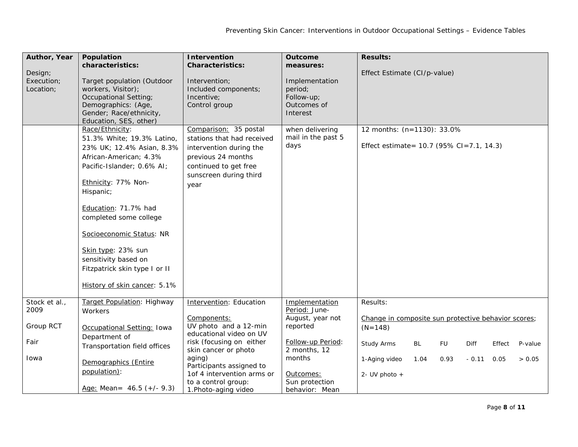| Author, Year<br>Design;<br>Execution;<br>Location:        | Population<br>characteristics:<br>Target population (Outdoor<br>workers, Visitor);<br>Occupational Setting;<br>Demographics: (Age,<br>Gender; Race/ethnicity,<br>Education, SES, other)                                                                                                                                                                             | Intervention<br><b>Characteristics:</b><br>Intervention;<br>Included components;<br>Incentive;<br>Control group                                                                                                                                                   | <b>Outcome</b><br>measures:<br>Implementation<br>period;<br>Follow-up;<br>Outcomes of<br>Interest                                                               | <b>Results:</b><br>Effect Estimate (CI/p-value)                                                                                                                                                                                           |
|-----------------------------------------------------------|---------------------------------------------------------------------------------------------------------------------------------------------------------------------------------------------------------------------------------------------------------------------------------------------------------------------------------------------------------------------|-------------------------------------------------------------------------------------------------------------------------------------------------------------------------------------------------------------------------------------------------------------------|-----------------------------------------------------------------------------------------------------------------------------------------------------------------|-------------------------------------------------------------------------------------------------------------------------------------------------------------------------------------------------------------------------------------------|
|                                                           | Race/Ethnicity:<br>51.3% White; 19.3% Latino,<br>23% UK; 12.4% Asian, 8.3%<br>African-American; 4.3%<br>Pacific-Islander; 0.6% AI;<br>Ethnicity: 77% Non-<br>Hispanic;<br>Education: 71.7% had<br>completed some college<br>Socioeconomic Status: NR<br>Skin type: 23% sun<br>sensitivity based on<br>Fitzpatrick skin type I or II<br>History of skin cancer: 5.1% | Comparison: 35 postal<br>stations that had received<br>intervention during the<br>previous 24 months<br>continued to get free<br>sunscreen during third<br>year                                                                                                   | when delivering<br>mail in the past 5<br>days                                                                                                                   | 12 months: (n=1130): 33.0%<br>Effect estimate = 10.7 (95% CI = 7.1, 14.3)                                                                                                                                                                 |
| Stock et al.,<br>2009<br><b>Group RCT</b><br>Fair<br>Iowa | Target Population: Highway<br>Workers<br>Occupational Setting: Iowa<br>Department of<br>Transportation field offices<br>Demographics (Entire<br>population):<br>Age: Mean = $46.5 (+/- 9.3)$                                                                                                                                                                        | Intervention: Education<br>Components:<br>UV photo and a 12-min<br>educational video on UV<br>risk (focusing on either<br>skin cancer or photo<br>aging)<br>Participants assigned to<br>1of 4 intervention arms or<br>to a control group:<br>1. Photo-aging video | Implementation<br>Period: June-<br>August, year not<br>reported<br>Follow-up Period:<br>2 months, 12<br>months<br>Outcomes:<br>Sun protection<br>behavior: Mean | Results:<br>Change in composite sun protective behavior scores;<br>$(N=148)$<br>Study Arms<br><b>BL</b><br><b>FU</b><br><b>Diff</b><br>Effect<br>P-value<br>1-Aging video<br>1.04<br>0.93<br>$-0.11$<br>> 0.05<br>0.05<br>2- UV photo $+$ |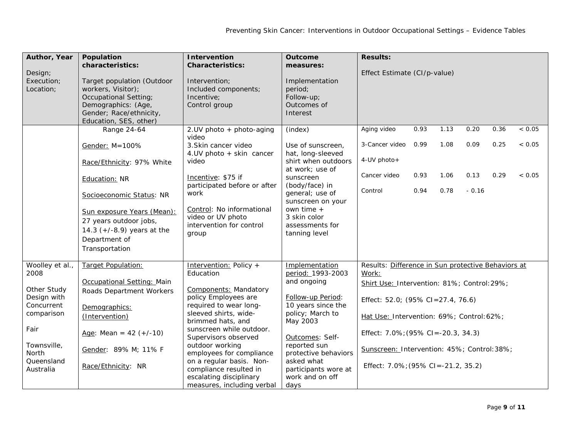| Author, Year                             | Population<br>characteristics:                                                                                                                        | Intervention<br><b>Characteristics:</b>                                             | Outcome                                                                         | <b>Results:</b>                                             |      |      |         |      |         |
|------------------------------------------|-------------------------------------------------------------------------------------------------------------------------------------------------------|-------------------------------------------------------------------------------------|---------------------------------------------------------------------------------|-------------------------------------------------------------|------|------|---------|------|---------|
| Design;<br>Execution;<br>Location;       | Target population (Outdoor<br>workers, Visitor);<br>Occupational Setting;<br>Demographics: (Age,<br>Gender; Race/ethnicity,<br>Education, SES, other) | Intervention;<br>Included components;<br>Incentive;<br>Control group                | measures:<br>Implementation<br>period;<br>Follow-up;<br>Outcomes of<br>Interest | Effect Estimate (CI/p-value)                                |      |      |         |      |         |
|                                          | Range 24-64                                                                                                                                           | 2. UV photo + photo-aging<br>video                                                  | (index)                                                                         | Aging video                                                 | 0.93 | 1.13 | 0.20    | 0.36 | ~< 0.05 |
|                                          | Gender: M=100%                                                                                                                                        | 3. Skin cancer video<br>4.UV photo + skin cancer                                    | Use of sunscreen,<br>hat, long-sleeved                                          | 3-Cancer video                                              | 0.99 | 1.08 | 0.09    | 0.25 | < 0.05  |
|                                          | Race/Ethnicity: 97% White                                                                                                                             | video                                                                               | shirt when outdoors                                                             | 4-UV photo+                                                 |      |      |         |      |         |
|                                          | Education: NR                                                                                                                                         | Incentive: \$75 if                                                                  | at work; use of<br>sunscreen                                                    | Cancer video                                                | 0.93 | 1.06 | 0.13    | 0.29 | < 0.05  |
|                                          | Socioeconomic Status: NR                                                                                                                              | participated before or after<br>work                                                | (body/face) in<br>general; use of<br>sunscreen on your                          | Control                                                     | 0.94 | 0.78 | $-0.16$ |      |         |
|                                          | Sun exposure Years (Mean):<br>27 years outdoor jobs,<br>14.3 $(+/-8.9)$ years at the<br>Department of<br>Transportation                               | Control: No informational<br>video or UV photo<br>intervention for control<br>group | own time $+$<br>3 skin color<br>assessments for<br>tanning level                |                                                             |      |      |         |      |         |
| Woolley et al.,<br>2008                  | Target Population:                                                                                                                                    | Intervention: Policy +<br>Education                                                 | Implementation<br>period: 1993-2003                                             | Results: Difference in Sun protective Behaviors at<br>Work: |      |      |         |      |         |
|                                          | Occupational Setting: Main                                                                                                                            |                                                                                     | and ongoing                                                                     | Shirt Use: Intervention: 81%; Control: 29%;                 |      |      |         |      |         |
| Other Study<br>Design with<br>Concurrent | Roads Department Workers<br>Demographics:                                                                                                             | <b>Components: Mandatory</b><br>policy Employees are<br>required to wear long-      | Follow-up Period:<br>10 years since the                                         | Effect: 52.0; (95% CI=27.4, 76.6)                           |      |      |         |      |         |
| comparison                               | (Intervention)                                                                                                                                        | sleeved shirts, wide-<br>brimmed hats, and                                          | policy; March to<br>May 2003                                                    | Hat Use: Intervention: 69%; Control: 62%;                   |      |      |         |      |         |
| Fair                                     | Age: Mean = $42 (+/-10)$                                                                                                                              | sunscreen while outdoor.<br>Supervisors observed                                    | Outcomes: Self-                                                                 | Effect: 7.0%; (95% CI = -20.3, 34.3)                        |      |      |         |      |         |
| Townsville,<br>North                     | Gender: 89% M; 11% F                                                                                                                                  | outdoor working<br>employees for compliance                                         | reported sun<br>protective behaviors                                            | Sunscreen: Intervention: 45%; Control: 38%;                 |      |      |         |      |         |
| Queensland<br>Australia                  | Race/Ethnicity: NR                                                                                                                                    | on a regular basis. Non-<br>compliance resulted in<br>escalating disciplinary       | asked what<br>participants wore at<br>work and on off                           | Effect: 7.0%; (95% CI = -21.2, 35.2)                        |      |      |         |      |         |
|                                          |                                                                                                                                                       | measures, including verbal                                                          | days                                                                            |                                                             |      |      |         |      |         |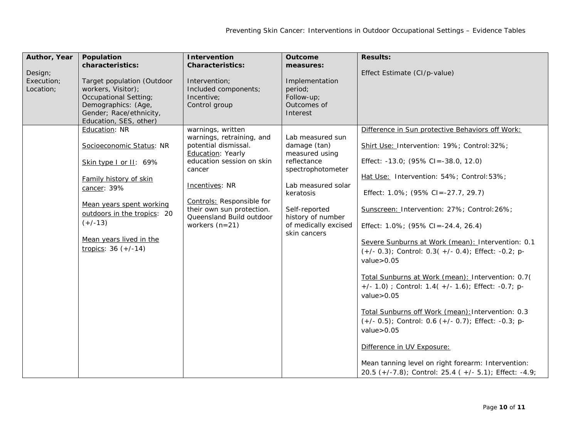| Author, Year                       | Population                                                                                                                                                                                                                               | Intervention                                                                                                                                                                                                                                                          | Outcome                                                                                                                                                                                                 | <b>Results:</b>                                                                                                                                                                                                                                                                                                                                                                                                                                                                                                                                                                                                                                                                                                                                                                                                                                                           |
|------------------------------------|------------------------------------------------------------------------------------------------------------------------------------------------------------------------------------------------------------------------------------------|-----------------------------------------------------------------------------------------------------------------------------------------------------------------------------------------------------------------------------------------------------------------------|---------------------------------------------------------------------------------------------------------------------------------------------------------------------------------------------------------|---------------------------------------------------------------------------------------------------------------------------------------------------------------------------------------------------------------------------------------------------------------------------------------------------------------------------------------------------------------------------------------------------------------------------------------------------------------------------------------------------------------------------------------------------------------------------------------------------------------------------------------------------------------------------------------------------------------------------------------------------------------------------------------------------------------------------------------------------------------------------|
| Design;<br>Execution;<br>Location; | characteristics:<br>Target population (Outdoor<br>workers, Visitor);<br>Occupational Setting;<br>Demographics: (Age,<br>Gender; Race/ethnicity,<br>Education, SES, other)                                                                | <b>Characteristics:</b><br>Intervention;<br>Included components;<br>Incentive;<br>Control group                                                                                                                                                                       | measures:<br>Implementation<br>period;<br>Follow-up;<br>Outcomes of<br>Interest                                                                                                                         | Effect Estimate (CI/p-value)                                                                                                                                                                                                                                                                                                                                                                                                                                                                                                                                                                                                                                                                                                                                                                                                                                              |
|                                    | Education: NR<br>Socioeconomic Status: NR<br>Skin type I or II: 69%<br>Family history of skin<br>cancer: 39%<br>Mean years spent working<br>outdoors in the tropics: 20<br>$(+/-13)$<br>Mean years lived in the<br>tropics: $36 (+/-14)$ | warnings, written<br>warnings, retraining, and<br>potential dismissal.<br><b>Education: Yearly</b><br>education session on skin<br>cancer<br>Incentives: NR<br>Controls: Responsible for<br>their own sun protection.<br>Queensland Build outdoor<br>workers $(n=21)$ | Lab measured sun<br>damage (tan)<br>measured using<br>reflectance<br>spectrophotometer<br>Lab measured solar<br>keratosis<br>Self-reported<br>history of number<br>of medically excised<br>skin cancers | Difference in Sun protective Behaviors off Work:<br>Shirt Use: Intervention: 19%; Control: 32%;<br>Effect: $-13.0$ ; (95% CI = $-38.0$ , 12.0)<br>Hat Use: Intervention: 54%; Control: 53%;<br>Effect: 1.0%; (95% CI = - 27.7, 29.7)<br>Sunscreen: Intervention: 27%; Control: 26%;<br>Effect: $1.0\%$ ; (95% CI = -24.4, 26.4)<br>Severe Sunburns at Work (mean): Intervention: 0.1<br>$(+/- 0.3)$ ; Control: 0.3( +/- 0.4); Effect: -0.2; p-<br>value > 0.05<br>Total Sunburns at Work (mean): Intervention: 0.7(<br>+/- 1.0) ; Control: 1.4( +/- 1.6); Effect: -0.7; p-<br>value > 0.05<br>Total Sunburns off Work (mean): Intervention: 0.3<br>$(+/- 0.5)$ ; Control: 0.6 $(+/- 0.7)$ ; Effect: -0.3; p-<br>value > 0.05<br>Difference in UV Exposure:<br>Mean tanning level on right forearm: Intervention:<br>20.5 (+/-7.8); Control: 25.4 (+/- 5.1); Effect: -4.9; |